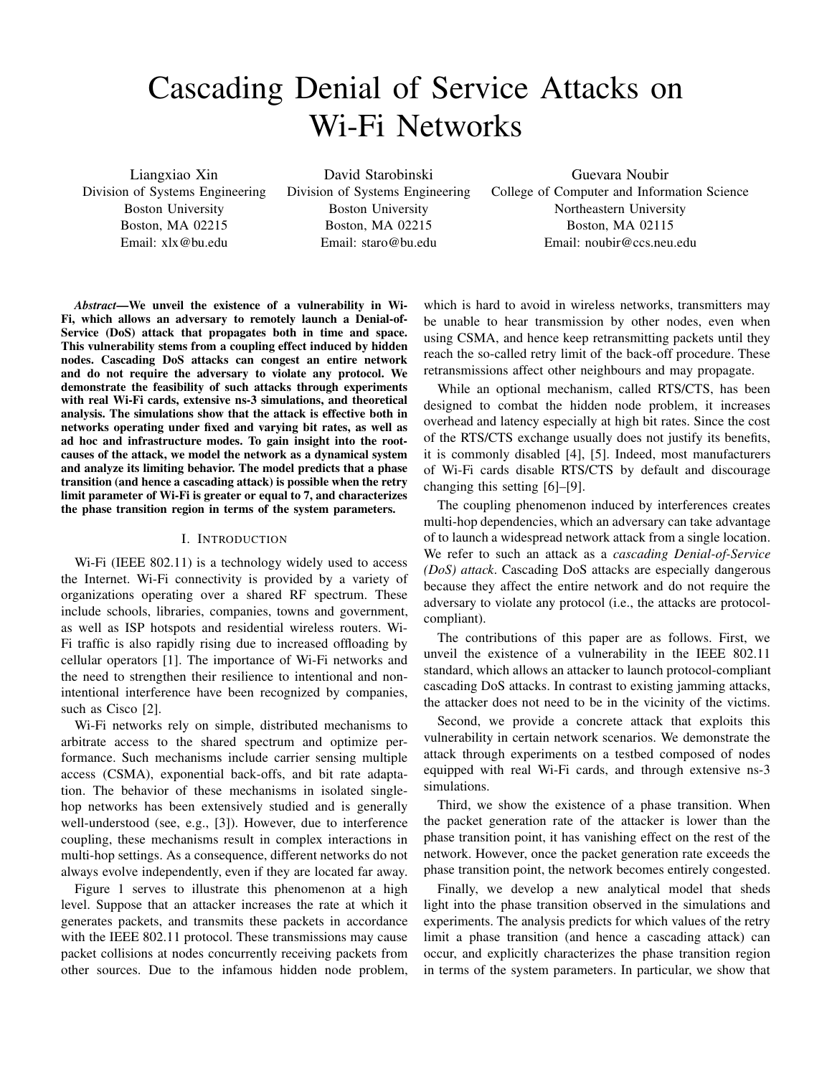# Cascading Denial of Service Attacks on Wi-Fi Networks

Liangxiao Xin Division of Systems Engineering Boston University Boston, MA 02215 Email: xlx@bu.edu

David Starobinski Division of Systems Engineering Boston University Boston, MA 02215 Email: staro@bu.edu

Guevara Noubir College of Computer and Information Science Northeastern University Boston, MA 02115 Email: noubir@ccs.neu.edu

*Abstract*—We unveil the existence of a vulnerability in Wi-Fi, which allows an adversary to remotely launch a Denial-of-Service (DoS) attack that propagates both in time and space. This vulnerability stems from a coupling effect induced by hidden nodes. Cascading DoS attacks can congest an entire network and do not require the adversary to violate any protocol. We demonstrate the feasibility of such attacks through experiments with real Wi-Fi cards, extensive ns-3 simulations, and theoretical analysis. The simulations show that the attack is effective both in networks operating under fixed and varying bit rates, as well as ad hoc and infrastructure modes. To gain insight into the rootcauses of the attack, we model the network as a dynamical system and analyze its limiting behavior. The model predicts that a phase transition (and hence a cascading attack) is possible when the retry limit parameter of Wi-Fi is greater or equal to 7, and characterizes the phase transition region in terms of the system parameters.

## I. INTRODUCTION

Wi-Fi (IEEE 802.11) is a technology widely used to access the Internet. Wi-Fi connectivity is provided by a variety of organizations operating over a shared RF spectrum. These include schools, libraries, companies, towns and government, as well as ISP hotspots and residential wireless routers. Wi-Fi traffic is also rapidly rising due to increased offloading by cellular operators [1]. The importance of Wi-Fi networks and the need to strengthen their resilience to intentional and nonintentional interference have been recognized by companies, such as Cisco [2].

Wi-Fi networks rely on simple, distributed mechanisms to arbitrate access to the shared spectrum and optimize performance. Such mechanisms include carrier sensing multiple access (CSMA), exponential back-offs, and bit rate adaptation. The behavior of these mechanisms in isolated singlehop networks has been extensively studied and is generally well-understood (see, e.g., [3]). However, due to interference coupling, these mechanisms result in complex interactions in multi-hop settings. As a consequence, different networks do not always evolve independently, even if they are located far away.

Figure 1 serves to illustrate this phenomenon at a high level. Suppose that an attacker increases the rate at which it generates packets, and transmits these packets in accordance with the IEEE 802.11 protocol. These transmissions may cause packet collisions at nodes concurrently receiving packets from other sources. Due to the infamous hidden node problem,

which is hard to avoid in wireless networks, transmitters may be unable to hear transmission by other nodes, even when using CSMA, and hence keep retransmitting packets until they reach the so-called retry limit of the back-off procedure. These retransmissions affect other neighbours and may propagate.

While an optional mechanism, called RTS/CTS, has been designed to combat the hidden node problem, it increases overhead and latency especially at high bit rates. Since the cost of the RTS/CTS exchange usually does not justify its benefits, it is commonly disabled [4], [5]. Indeed, most manufacturers of Wi-Fi cards disable RTS/CTS by default and discourage changing this setting [6]–[9].

The coupling phenomenon induced by interferences creates multi-hop dependencies, which an adversary can take advantage of to launch a widespread network attack from a single location. We refer to such an attack as a *cascading Denial-of-Service (DoS) attack*. Cascading DoS attacks are especially dangerous because they affect the entire network and do not require the adversary to violate any protocol (i.e., the attacks are protocolcompliant).

The contributions of this paper are as follows. First, we unveil the existence of a vulnerability in the IEEE 802.11 standard, which allows an attacker to launch protocol-compliant cascading DoS attacks. In contrast to existing jamming attacks, the attacker does not need to be in the vicinity of the victims.

Second, we provide a concrete attack that exploits this vulnerability in certain network scenarios. We demonstrate the attack through experiments on a testbed composed of nodes equipped with real Wi-Fi cards, and through extensive ns-3 simulations.

Third, we show the existence of a phase transition. When the packet generation rate of the attacker is lower than the phase transition point, it has vanishing effect on the rest of the network. However, once the packet generation rate exceeds the phase transition point, the network becomes entirely congested.

Finally, we develop a new analytical model that sheds light into the phase transition observed in the simulations and experiments. The analysis predicts for which values of the retry limit a phase transition (and hence a cascading attack) can occur, and explicitly characterizes the phase transition region in terms of the system parameters. In particular, we show that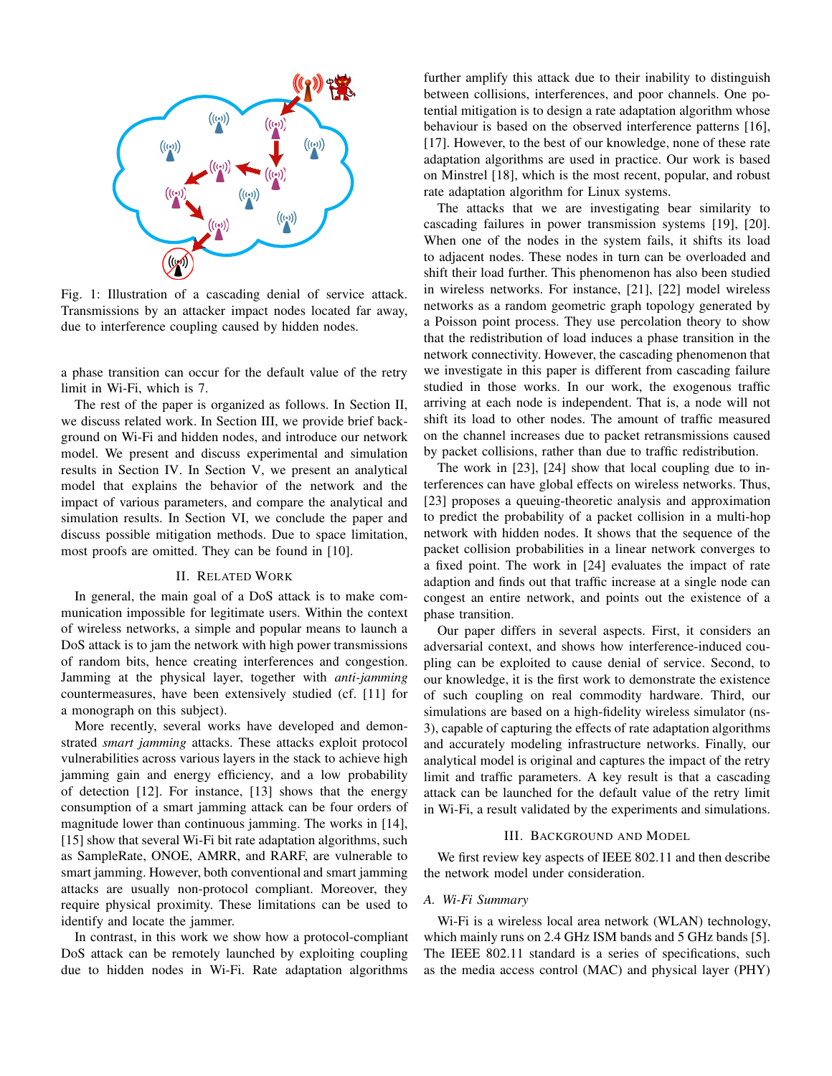

Fig. 1: Illustration of a cascading denial of service attack. Transmissions by an attacker impact nodes located far away, due to interference coupling caused by hidden nodes.

a phase transition can occur for the default value of the retry limit in Wi-Fi, which is 7.

The rest of the paper is organized as follows. In Section II, we discuss related work. In Section III, we provide brief background on Wi-Fi and hidden nodes, and introduce our network model. We present and discuss experimental and simulation results in Section IV. In Section V, we present an analytical model that explains the behavior of the network and the impact of various parameters, and compare the analytical and simulation results. In Section VI, we conclude the paper and discuss possible mitigation methods. Due to space limitation, most proofs are omitted. They can be found in [10].

#### II. RELATED WORK

In general, the main goal of a DoS attack is to make communication impossible for legitimate users. Within the context of wireless networks, a simple and popular means to launch a DoS attack is to jam the network with high power transmissions of random bits, hence creating interferences and congestion. Jamming at the physical layer, together with *anti-jamming* countermeasures, have been extensively studied (cf. [11] for a monograph on this subject).

More recently, several works have developed and demonstrated *smart jamming* attacks. These attacks exploit protocol vulnerabilities across various layers in the stack to achieve high jamming gain and energy efficiency, and a low probability of detection [12]. For instance, [13] shows that the energy consumption of a smart jamming attack can be four orders of magnitude lower than continuous jamming. The works in [14], [15] show that several Wi-Fi bit rate adaptation algorithms, such as SampleRate, ONOE, AMRR, and RARF, are vulnerable to smart jamming. However, both conventional and smart jamming attacks are usually non-protocol compliant. Moreover, they require physical proximity. These limitations can be used to identify and locate the jammer.

In contrast, in this work we show how a protocol-compliant DoS attack can be remotely launched by exploiting coupling due to hidden nodes in Wi-Fi. Rate adaptation algorithms

further amplify this attack due to their inability to distinguish between collisions, interferences, and poor channels. One potential mitigation is to design a rate adaptation algorithm whose behaviour is based on the observed interference patterns [16], [17]. However, to the best of our knowledge, none of these rate adaptation algorithms are used in practice. Our work is based on Minstrel [18], which is the most recent, popular, and robust rate adaptation algorithm for Linux systems.

The attacks that we are investigating bear similarity to cascading failures in power transmission systems [19], [20]. When one of the nodes in the system fails, it shifts its load to adjacent nodes. These nodes in turn can be overloaded and shift their load further. This phenomenon has also been studied in wireless networks. For instance, [21], [22] model wireless networks as a random geometric graph topology generated by a Poisson point process. They use percolation theory to show that the redistribution of load induces a phase transition in the network connectivity. However, the cascading phenomenon that we investigate in this paper is different from cascading failure studied in those works. In our work, the exogenous traffic arriving at each node is independent. That is, a node will not shift its load to other nodes. The amount of traffic measured on the channel increases due to packet retransmissions caused by packet collisions, rather than due to traffic redistribution.

The work in [23], [24] show that local coupling due to interferences can have global effects on wireless networks. Thus, [23] proposes a queuing-theoretic analysis and approximation to predict the probability of a packet collision in a multi-hop network with hidden nodes. It shows that the sequence of the packet collision probabilities in a linear network converges to a fixed point. The work in [24] evaluates the impact of rate adaption and finds out that traffic increase at a single node can congest an entire network, and points out the existence of a phase transition.

Our paper differs in several aspects. First, it considers an adversarial context, and shows how interference-induced coupling can be exploited to cause denial of service. Second, to our knowledge, it is the first work to demonstrate the existence of such coupling on real commodity hardware. Third, our simulations are based on a high-fidelity wireless simulator (ns-3), capable of capturing the effects of rate adaptation algorithms and accurately modeling infrastructure networks. Finally, our analytical model is original and captures the impact of the retry limit and traffic parameters. A key result is that a cascading attack can be launched for the default value of the retry limit in Wi-Fi, a result validated by the experiments and simulations.

#### III. BACKGROUND AND MODEL

We first review key aspects of IEEE 802.11 and then describe the network model under consideration.

# *A. Wi-Fi Summary*

Wi-Fi is a wireless local area network (WLAN) technology, which mainly runs on 2.4 GHz ISM bands and 5 GHz bands [5]. The IEEE 802.11 standard is a series of specifications, such as the media access control (MAC) and physical layer (PHY)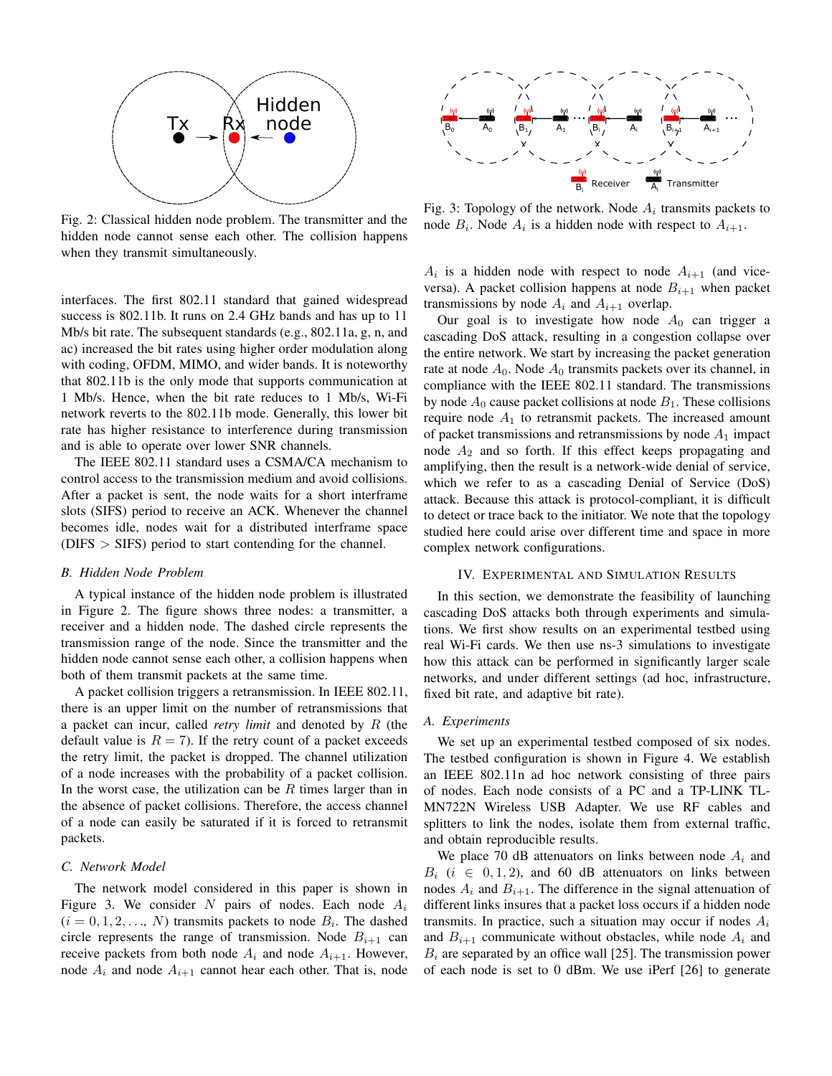

Fig. 2: Classical hidden node problem. The transmitter and the hidden node cannot sense each other. The collision happens when they transmit simultaneously.

interfaces. The first 802.11 standard that gained widespread success is 802.11b. It runs on 2.4 GHz bands and has up to 11 Mb/s bit rate. The subsequent standards (e.g., 802.11a, g, n, and ac) increased the bit rates using higher order modulation along with coding, OFDM, MIMO, and wider bands. It is noteworthy that 802.11b is the only mode that supports communication at 1 Mb/s. Hence, when the bit rate reduces to 1 Mb/s, Wi-Fi network reverts to the 802.11b mode. Generally, this lower bit rate has higher resistance to interference during transmission and is able to operate over lower SNR channels.

The IEEE 802.11 standard uses a CSMA/CA mechanism to control access to the transmission medium and avoid collisions. After a packet is sent, the node waits for a short interframe slots (SIFS) period to receive an ACK. Whenever the channel becomes idle, nodes wait for a distributed interframe space (DIFS > SIFS) period to start contending for the channel.

#### *B. Hidden Node Problem*

A typical instance of the hidden node problem is illustrated in Figure 2. The figure shows three nodes: a transmitter, a receiver and a hidden node. The dashed circle represents the transmission range of the node. Since the transmitter and the hidden node cannot sense each other, a collision happens when both of them transmit packets at the same time.

A packet collision triggers a retransmission. In IEEE 802.11, there is an upper limit on the number of retransmissions that a packet can incur, called *retry limit* and denoted by R (the default value is  $R = 7$ ). If the retry count of a packet exceeds the retry limit, the packet is dropped. The channel utilization of a node increases with the probability of a packet collision. In the worst case, the utilization can be  $R$  times larger than in the absence of packet collisions. Therefore, the access channel of a node can easily be saturated if it is forced to retransmit packets.

#### *C. Network Model*

The network model considered in this paper is shown in Figure 3. We consider N pairs of nodes. Each node  $A_i$  $(i = 0, 1, 2, \ldots, N)$  transmits packets to node  $B_i$ . The dashed circle represents the range of transmission. Node  $B_{i+1}$  can receive packets from both node  $A_i$  and node  $A_{i+1}$ . However, node  $A_i$  and node  $A_{i+1}$  cannot hear each other. That is, node



Fig. 3: Topology of the network. Node  $A_i$  transmits packets to node  $B_i$ . Node  $A_i$  is a hidden node with respect to  $A_{i+1}$ .

 $A_i$  is a hidden node with respect to node  $A_{i+1}$  (and viceversa). A packet collision happens at node  $B_{i+1}$  when packet transmissions by node  $A_i$  and  $A_{i+1}$  overlap.

Our goal is to investigate how node  $A_0$  can trigger a cascading DoS attack, resulting in a congestion collapse over the entire network. We start by increasing the packet generation rate at node  $A_0$ . Node  $A_0$  transmits packets over its channel, in compliance with the IEEE 802.11 standard. The transmissions by node  $A_0$  cause packet collisions at node  $B_1$ . These collisions require node  $A_1$  to retransmit packets. The increased amount of packet transmissions and retransmissions by node  $A_1$  impact node  $A_2$  and so forth. If this effect keeps propagating and amplifying, then the result is a network-wide denial of service, which we refer to as a cascading Denial of Service (DoS) attack. Because this attack is protocol-compliant, it is difficult to detect or trace back to the initiator. We note that the topology studied here could arise over different time and space in more complex network configurations.

## IV. EXPERIMENTAL AND SIMULATION RESULTS

In this section, we demonstrate the feasibility of launching cascading DoS attacks both through experiments and simulations. We first show results on an experimental testbed using real Wi-Fi cards. We then use ns-3 simulations to investigate how this attack can be performed in significantly larger scale networks, and under different settings (ad hoc, infrastructure, fixed bit rate, and adaptive bit rate).

#### *A. Experiments*

We set up an experimental testbed composed of six nodes. The testbed configuration is shown in Figure 4. We establish an IEEE 802.11n ad hoc network consisting of three pairs of nodes. Each node consists of a PC and a TP-LINK TL-MN722N Wireless USB Adapter. We use RF cables and splitters to link the nodes, isolate them from external traffic, and obtain reproducible results.

We place 70 dB attenuators on links between node  $A_i$  and  $B_i$  ( $i \in [0, 1, 2)$ , and 60 dB attenuators on links between nodes  $A_i$  and  $B_{i+1}$ . The difference in the signal attenuation of different links insures that a packet loss occurs if a hidden node transmits. In practice, such a situation may occur if nodes  $A_i$ and  $B_{i+1}$  communicate without obstacles, while node  $A_i$  and  $B_i$  are separated by an office wall [25]. The transmission power of each node is set to 0 dBm. We use iPerf [26] to generate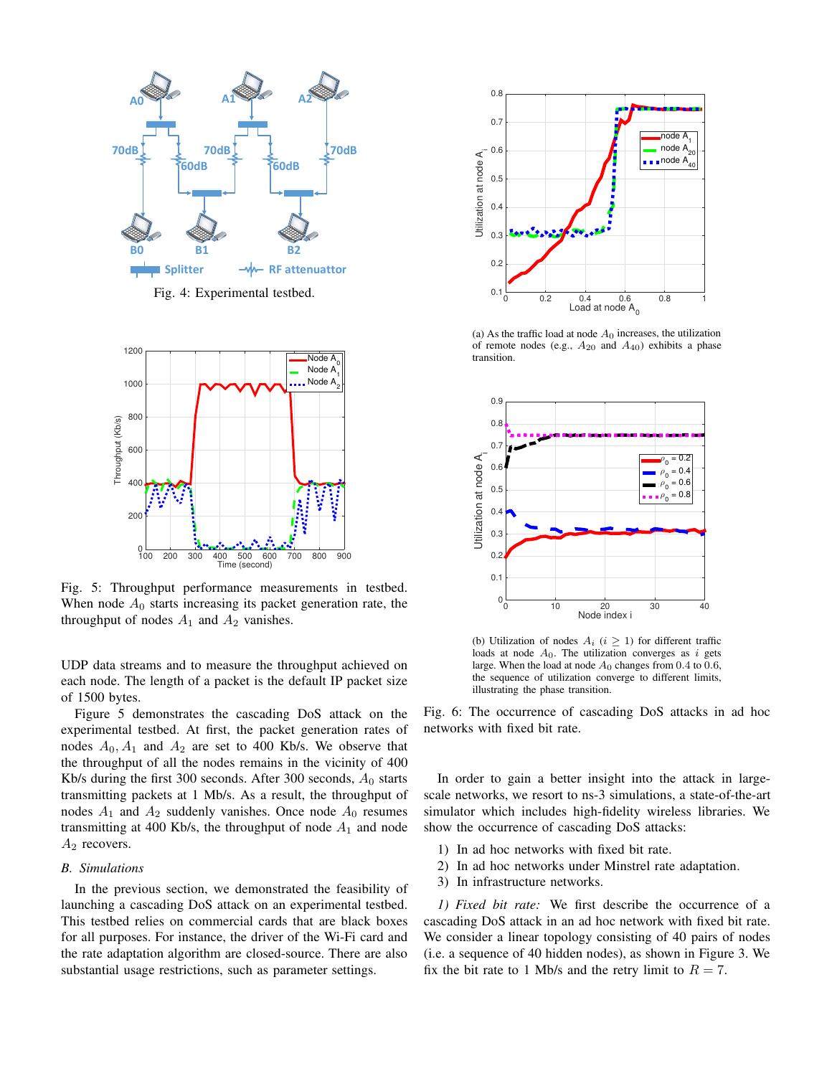

Fig. 4: Experimental testbed.



Fig. 5: Throughput performance measurements in testbed. When node  $A_0$  starts increasing its packet generation rate, the throughput of nodes  $A_1$  and  $A_2$  vanishes.

UDP data streams and to measure the throughput achieved on each node. The length of a packet is the default IP packet size of 1500 bytes.

Figure 5 demonstrates the cascading DoS attack on the experimental testbed. At first, the packet generation rates of nodes  $A_0$ ,  $A_1$  and  $A_2$  are set to 400 Kb/s. We observe that the throughput of all the nodes remains in the vicinity of 400 Kb/s during the first 300 seconds. After 300 seconds,  $A_0$  starts transmitting packets at 1 Mb/s. As a result, the throughput of nodes  $A_1$  and  $A_2$  suddenly vanishes. Once node  $A_0$  resumes transmitting at 400 Kb/s, the throughput of node  $A_1$  and node  $A_2$  recovers.

## *B. Simulations*

In the previous section, we demonstrated the feasibility of launching a cascading DoS attack on an experimental testbed. This testbed relies on commercial cards that are black boxes for all purposes. For instance, the driver of the Wi-Fi card and the rate adaptation algorithm are closed-source. There are also substantial usage restrictions, such as parameter settings.



(a) As the traffic load at node  $A_0$  increases, the utilization of remote nodes (e.g.,  $A_{20}$  and  $A_{40}$ ) exhibits a phase transition.



(b) Utilization of nodes  $A_i$  ( $i \geq 1$ ) for different traffic loads at node  $A_0$ . The utilization converges as i gets large. When the load at node  $A_0$  changes from 0.4 to 0.6, the sequence of utilization converge to different limits, illustrating the phase transition.

Fig. 6: The occurrence of cascading DoS attacks in ad hoc networks with fixed bit rate.

In order to gain a better insight into the attack in largescale networks, we resort to ns-3 simulations, a state-of-the-art simulator which includes high-fidelity wireless libraries. We show the occurrence of cascading DoS attacks:

- 1) In ad hoc networks with fixed bit rate.
- 2) In ad hoc networks under Minstrel rate adaptation.
- 3) In infrastructure networks.

*1) Fixed bit rate:* We first describe the occurrence of a cascading DoS attack in an ad hoc network with fixed bit rate. We consider a linear topology consisting of 40 pairs of nodes (i.e. a sequence of 40 hidden nodes), as shown in Figure 3. We fix the bit rate to 1 Mb/s and the retry limit to  $R = 7$ .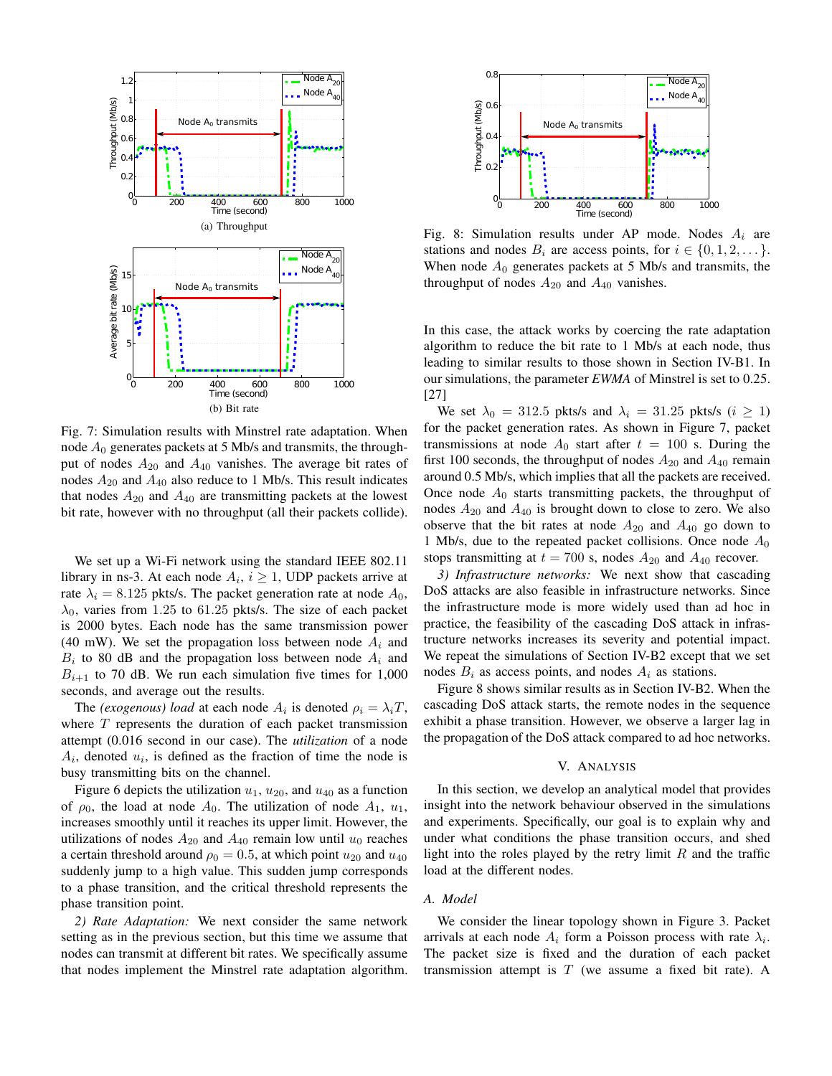

Fig. 7: Simulation results with Minstrel rate adaptation. When node  $A_0$  generates packets at 5 Mb/s and transmits, the throughput of nodes  $A_{20}$  and  $A_{40}$  vanishes. The average bit rates of nodes  $A_{20}$  and  $A_{40}$  also reduce to 1 Mb/s. This result indicates that nodes  $A_{20}$  and  $A_{40}$  are transmitting packets at the lowest bit rate, however with no throughput (all their packets collide).

We set up a Wi-Fi network using the standard IEEE 802.11 library in ns-3. At each node  $A_i$ ,  $i \geq 1$ , UDP packets arrive at rate  $\lambda_i = 8.125$  pkts/s. The packet generation rate at node  $A_0$ ,  $\lambda_0$ , varies from 1.25 to 61.25 pkts/s. The size of each packet is 2000 bytes. Each node has the same transmission power (40 mW). We set the propagation loss between node  $A_i$  and  $B_i$  to 80 dB and the propagation loss between node  $A_i$  and  $B_{i+1}$  to 70 dB. We run each simulation five times for 1,000 seconds, and average out the results.

The *(exogenous) load* at each node  $A_i$  is denoted  $\rho_i = \lambda_i T$ , where  $T$  represents the duration of each packet transmission attempt (0.016 second in our case). The *utilization* of a node  $A_i$ , denoted  $u_i$ , is defined as the fraction of time the node is busy transmitting bits on the channel.

Figure 6 depicts the utilization  $u_1$ ,  $u_{20}$ , and  $u_{40}$  as a function of  $\rho_0$ , the load at node  $A_0$ . The utilization of node  $A_1$ ,  $u_1$ , increases smoothly until it reaches its upper limit. However, the utilizations of nodes  $A_{20}$  and  $A_{40}$  remain low until  $u_0$  reaches a certain threshold around  $\rho_0 = 0.5$ , at which point  $u_{20}$  and  $u_{40}$ suddenly jump to a high value. This sudden jump corresponds to a phase transition, and the critical threshold represents the phase transition point.

*2) Rate Adaptation:* We next consider the same network setting as in the previous section, but this time we assume that nodes can transmit at different bit rates. We specifically assume that nodes implement the Minstrel rate adaptation algorithm.



Fig. 8: Simulation results under AP mode. Nodes  $A_i$  are stations and nodes  $B_i$  are access points, for  $i \in \{0, 1, 2, \dots\}$ . When node  $A_0$  generates packets at 5 Mb/s and transmits, the throughput of nodes  $A_{20}$  and  $A_{40}$  vanishes.

In this case, the attack works by coercing the rate adaptation algorithm to reduce the bit rate to 1 Mb/s at each node, thus leading to similar results to those shown in Section IV-B1. In our simulations, the parameter *EWMA* of Minstrel is set to 0.25. [27]

We set  $\lambda_0 = 312.5$  pkts/s and  $\lambda_i = 31.25$  pkts/s  $(i \geq 1)$ for the packet generation rates. As shown in Figure 7, packet transmissions at node  $A_0$  start after  $t = 100$  s. During the first 100 seconds, the throughput of nodes  $A_{20}$  and  $A_{40}$  remain around 0.5 Mb/s, which implies that all the packets are received. Once node  $A_0$  starts transmitting packets, the throughput of nodes  $A_{20}$  and  $A_{40}$  is brought down to close to zero. We also observe that the bit rates at node  $A_{20}$  and  $A_{40}$  go down to 1 Mb/s, due to the repeated packet collisions. Once node  $A_0$ stops transmitting at  $t = 700$  s, nodes  $A_{20}$  and  $A_{40}$  recover.

*3) Infrastructure networks:* We next show that cascading DoS attacks are also feasible in infrastructure networks. Since the infrastructure mode is more widely used than ad hoc in practice, the feasibility of the cascading DoS attack in infrastructure networks increases its severity and potential impact. We repeat the simulations of Section IV-B2 except that we set nodes  $B_i$  as access points, and nodes  $A_i$  as stations.

Figure 8 shows similar results as in Section IV-B2. When the cascading DoS attack starts, the remote nodes in the sequence exhibit a phase transition. However, we observe a larger lag in the propagation of the DoS attack compared to ad hoc networks.

#### V. ANALYSIS

In this section, we develop an analytical model that provides insight into the network behaviour observed in the simulations and experiments. Specifically, our goal is to explain why and under what conditions the phase transition occurs, and shed light into the roles played by the retry limit  $R$  and the traffic load at the different nodes.

#### *A. Model*

We consider the linear topology shown in Figure 3. Packet arrivals at each node  $A_i$  form a Poisson process with rate  $\lambda_i$ . The packet size is fixed and the duration of each packet transmission attempt is  $T$  (we assume a fixed bit rate). A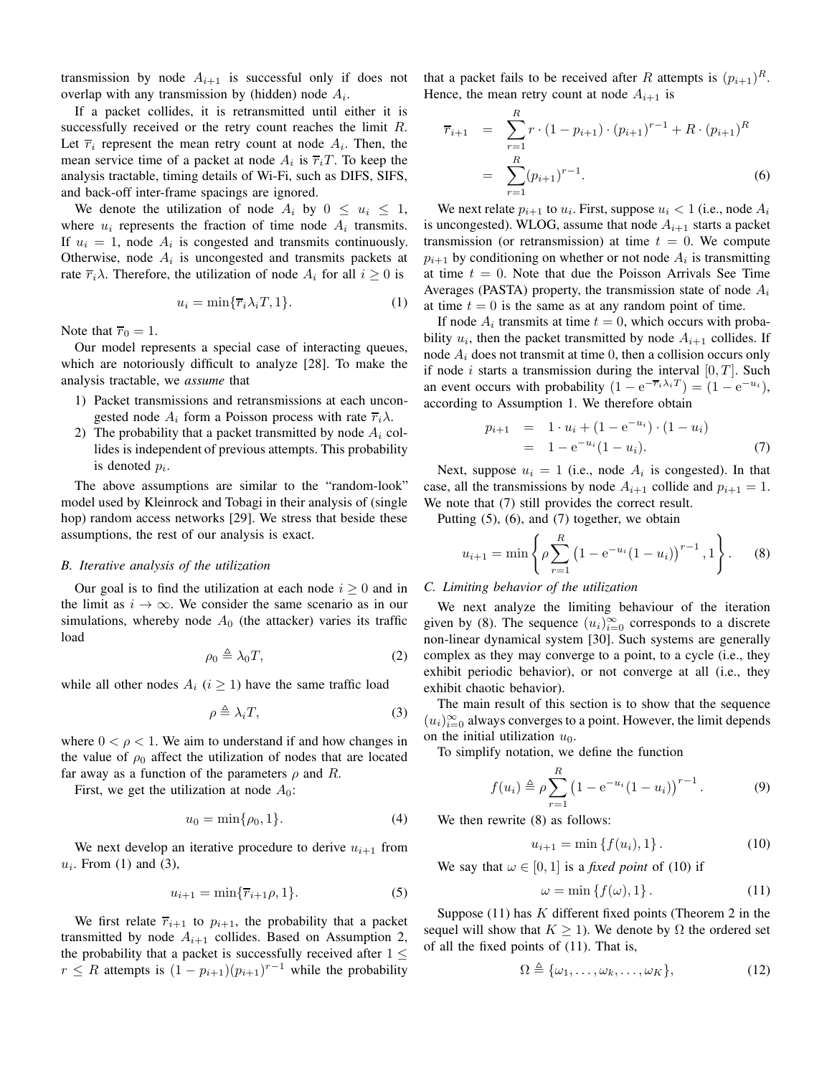transmission by node  $A_{i+1}$  is successful only if does not overlap with any transmission by (hidden) node  $A_i$ .

If a packet collides, it is retransmitted until either it is successfully received or the retry count reaches the limit  $R$ . Let  $\overline{r}_i$  represent the mean retry count at node  $A_i$ . Then, the mean service time of a packet at node  $A_i$  is  $\overline{r_i}T$ . To keep the analysis tractable, timing details of Wi-Fi, such as DIFS, SIFS, and back-off inter-frame spacings are ignored.

We denote the utilization of node  $A_i$  by  $0 \leq u_i \leq 1$ , where  $u_i$  represents the fraction of time node  $A_i$  transmits. If  $u_i = 1$ , node  $A_i$  is congested and transmits continuously. Otherwise, node  $A_i$  is uncongested and transmits packets at rate  $\overline{r_i} \lambda$ . Therefore, the utilization of node  $A_i$  for all  $i \geq 0$  is

$$
u_i = \min{\lbrace \overline{r}_i \lambda_i T, 1 \rbrace}.
$$
 (1)

Note that  $\overline{r}_0 = 1$ .

Our model represents a special case of interacting queues, which are notoriously difficult to analyze [28]. To make the analysis tractable, we *assume* that

- 1) Packet transmissions and retransmissions at each uncongested node  $A_i$  form a Poisson process with rate  $\overline{r}_i \lambda$ .
- 2) The probability that a packet transmitted by node  $A_i$  collides is independent of previous attempts. This probability is denoted  $p_i$ .

The above assumptions are similar to the "random-look" model used by Kleinrock and Tobagi in their analysis of (single hop) random access networks [29]. We stress that beside these assumptions, the rest of our analysis is exact.

## *B. Iterative analysis of the utilization*

Our goal is to find the utilization at each node  $i \geq 0$  and in the limit as  $i \to \infty$ . We consider the same scenario as in our simulations, whereby node  $A_0$  (the attacker) varies its traffic load

$$
\rho_0 \triangleq \lambda_0 T,\tag{2}
$$

while all other nodes  $A_i$  ( $i \geq 1$ ) have the same traffic load

$$
\rho \triangleq \lambda_i T,\tag{3}
$$

where  $0 < \rho < 1$ . We aim to understand if and how changes in the value of  $\rho_0$  affect the utilization of nodes that are located far away as a function of the parameters  $\rho$  and R.

First, we get the utilization at node  $A_0$ :

$$
u_0 = \min\{\rho_0, 1\}.
$$
 (4)

We next develop an iterative procedure to derive  $u_{i+1}$  from  $u_i$ . From (1) and (3),

$$
u_{i+1} = \min\{\overline{r}_{i+1}\rho, 1\}.
$$
\n
$$
(5)
$$

We first relate  $\overline{r}_{i+1}$  to  $p_{i+1}$ , the probability that a packet transmitted by node  $A_{i+1}$  collides. Based on Assumption 2, the probability that a packet is successfully received after  $1 \leq$  $r \leq R$  attempts is  $(1 - p_{i+1})(p_{i+1})^{r-1}$  while the probability that a packet fails to be received after R attempts is  $(p_{i+1})^R$ . Hence, the mean retry count at node  $A_{i+1}$  is

$$
\overline{r}_{i+1} = \sum_{r=1}^{R} r \cdot (1 - p_{i+1}) \cdot (p_{i+1})^{r-1} + R \cdot (p_{i+1})^R
$$

$$
= \sum_{r=1}^{R} (p_{i+1})^{r-1}.
$$
(6)

We next relate  $p_{i+1}$  to  $u_i$ . First, suppose  $u_i < 1$  (i.e., node  $A_i$ is uncongested). WLOG, assume that node  $A_{i+1}$  starts a packet transmission (or retransmission) at time  $t = 0$ . We compute  $p_{i+1}$  by conditioning on whether or not node  $A_i$  is transmitting at time  $t = 0$ . Note that due the Poisson Arrivals See Time Averages (PASTA) property, the transmission state of node  $A_i$ at time  $t = 0$  is the same as at any random point of time.

If node  $A_i$  transmits at time  $t = 0$ , which occurs with probability  $u_i$ , then the packet transmitted by node  $A_{i+1}$  collides. If node  $A_i$  does not transmit at time 0, then a collision occurs only if node *i* starts a transmission during the interval  $[0, T]$ . Such an event occurs with probability  $(1 - e^{-\overline{r}_i \lambda_i T}) = (1 - e^{-u_i}),$ according to Assumption 1. We therefore obtain

$$
p_{i+1} = 1 \cdot u_i + (1 - e^{-u_i}) \cdot (1 - u_i)
$$
  
= 1 - e^{-u\_i} (1 - u\_i). (7)

Next, suppose  $u_i = 1$  (i.e., node  $A_i$  is congested). In that case, all the transmissions by node  $A_{i+1}$  collide and  $p_{i+1} = 1$ . We note that  $(7)$  still provides the correct result.

Putting (5), (6), and (7) together, we obtain

$$
u_{i+1} = \min\left\{\rho \sum_{r=1}^{R} \left(1 - e^{-u_i}(1 - u_i)\right)^{r-1}, 1\right\}.
$$
 (8)

#### *C. Limiting behavior of the utilization*

We next analyze the limiting behaviour of the iteration given by (8). The sequence  $(u_i)_{i=0}^{\infty}$  corresponds to a discrete non-linear dynamical system [30]. Such systems are generally complex as they may converge to a point, to a cycle (i.e., they exhibit periodic behavior), or not converge at all (i.e., they exhibit chaotic behavior).

The main result of this section is to show that the sequence  $(u_i)_{i=0}^{\infty}$  always converges to a point. However, the limit depends on the initial utilization  $u_0$ .

To simplify notation, we define the function

$$
f(u_i) \triangleq \rho \sum_{r=1}^{R} (1 - e^{-u_i} (1 - u_i))^{r-1}.
$$
 (9)

We then rewrite  $(8)$  as follows:

$$
u_{i+1} = \min\{f(u_i), 1\}.
$$
 (10)

We say that  $\omega \in [0, 1]$  is a *fixed point* of (10) if

$$
\omega = \min \{ f(\omega), 1 \}.
$$
 (11)

Suppose  $(11)$  has K different fixed points (Theorem 2 in the sequel will show that  $K \geq 1$ ). We denote by  $\Omega$  the ordered set of all the fixed points of (11). That is,

$$
\Omega \triangleq \{\omega_1, \dots, \omega_k, \dots, \omega_K\},\tag{12}
$$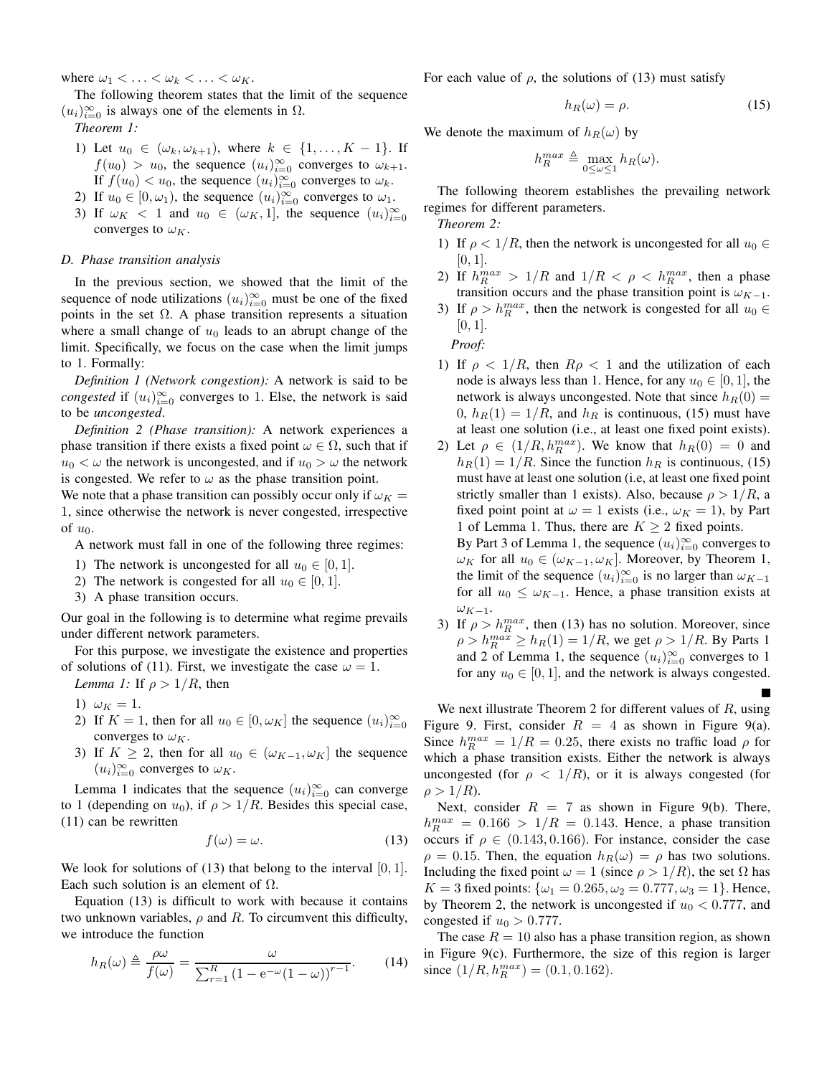where  $\omega_1 < \ldots < \omega_k < \ldots < \omega_K$ .

The following theorem states that the limit of the sequence  $(u_i)_{i=0}^{\infty}$  is always one of the elements in  $\Omega$ .

*Theorem 1:*

- 1) Let  $u_0 \in (\omega_k, \omega_{k+1})$ , where  $k \in \{1, ..., K-1\}$ . If  $f(u_0) > u_0$ , the sequence  $(u_i)_{i=0}^{\infty}$  converges to  $\omega_{k+1}$ . If  $f(u_0) < u_0$ , the sequence  $(u_i)_{i=0}^{\infty}$  converges to  $\omega_k$ .
- 2) If  $u_0 \in [0, \omega_1)$ , the sequence  $(u_i)_{i=0}^{\infty}$  converges to  $\omega_1$ .
- 3) If  $\omega_K < 1$  and  $u_0 \in (\omega_K, 1]$ , the sequence  $(u_i)_{i=0}^{\infty}$ converges to  $\omega_K$ .

## *D. Phase transition analysis*

In the previous section, we showed that the limit of the sequence of node utilizations  $(u_i)_{i=0}^{\infty}$  must be one of the fixed points in the set  $\Omega$ . A phase transition represents a situation where a small change of  $u_0$  leads to an abrupt change of the limit. Specifically, we focus on the case when the limit jumps to 1. Formally:

*Definition 1 (Network congestion):* A network is said to be *congested* if  $(u_i)_{i=0}^{\infty}$  converges to 1. Else, the network is said to be *uncongested*.

*Definition 2 (Phase transition):* A network experiences a phase transition if there exists a fixed point  $\omega \in \Omega$ , such that if  $u_0 < \omega$  the network is uncongested, and if  $u_0 > \omega$  the network is congested. We refer to  $\omega$  as the phase transition point.

We note that a phase transition can possibly occur only if  $\omega_K =$ 1, since otherwise the network is never congested, irrespective of  $u_0$ .

A network must fall in one of the following three regimes:

- 1) The network is uncongested for all  $u_0 \in [0, 1]$ .
- 2) The network is congested for all  $u_0 \in [0, 1]$ .
- 3) A phase transition occurs.

Our goal in the following is to determine what regime prevails under different network parameters.

For this purpose, we investigate the existence and properties of solutions of (11). First, we investigate the case  $\omega = 1$ . *Lemma 1:* If  $\rho > 1/R$ , then

- 1)  $\omega_K = 1$ .
- 2) If  $K = 1$ , then for all  $u_0 \in [0, \omega_K]$  the sequence  $(u_i)_{i=0}^{\infty}$ converges to  $\omega_K$ .
- 3) If  $K \geq 2$ , then for all  $u_0 \in (\omega_{K-1}, \omega_K]$  the sequence  $(u_i)_{i=0}^{\infty}$  converges to  $\omega_K$ .

Lemma 1 indicates that the sequence  $(u_i)_{i=0}^{\infty}$  can converge to 1 (depending on  $u_0$ ), if  $\rho > 1/R$ . Besides this special case, (11) can be rewritten

$$
f(\omega) = \omega.
$$
 (13)

We look for solutions of  $(13)$  that belong to the interval  $[0, 1]$ . Each such solution is an element of  $\Omega$ .

Equation (13) is difficult to work with because it contains two unknown variables,  $\rho$  and R. To circumvent this difficulty, we introduce the function

$$
h_R(\omega) \triangleq \frac{\rho \omega}{f(\omega)} = \frac{\omega}{\sum_{r=1}^R (1 - e^{-\omega}(1 - \omega))^{r-1}}.
$$
 (14)

For each value of  $\rho$ , the solutions of (13) must satisfy

$$
h_R(\omega) = \rho. \tag{15}
$$

We denote the maximum of  $h_R(\omega)$  by

$$
h_R^{max} \triangleq \max_{0 \le \omega \le 1} h_R(\omega).
$$

The following theorem establishes the prevailing network regimes for different parameters.

*Theorem 2:*

- 1) If  $\rho < 1/R$ , then the network is uncongested for all  $u_0 \in$  $[0, 1]$ .
- 2) If  $h_R^{max} > 1/R$  and  $1/R < \rho < h_R^{max}$ , then a phase transition occurs and the phase transition point is  $\omega_{K-1}$ .
- 3) If  $\rho > h_R^{max}$ , then the network is congested for all  $u_0 \in$  $[0, 1]$ .

*Proof:*

- 1) If  $\rho < 1/R$ , then  $R\rho < 1$  and the utilization of each node is always less than 1. Hence, for any  $u_0 \in [0, 1]$ , the network is always uncongested. Note that since  $h_R(0) =$  $0, h_R(1) = 1/R$ , and  $h_R$  is continuous, (15) must have at least one solution (i.e., at least one fixed point exists).
- 2) Let  $\rho \in (1/R, h_R^{max})$ . We know that  $h_R(0) = 0$  and  $h_R(1) = 1/R$ . Since the function  $h_R$  is continuous, (15) must have at least one solution (i.e, at least one fixed point strictly smaller than 1 exists). Also, because  $\rho > 1/R$ , a fixed point point at  $\omega = 1$  exists (i.e.,  $\omega_K = 1$ ), by Part 1 of Lemma 1. Thus, there are  $K \geq 2$  fixed points. By Part 3 of Lemma 1, the sequence  $(u_i)_{i=0}^{\infty}$  converges to
- $\omega_K$  for all  $u_0 \in (\omega_{K-1}, \omega_K]$ . Moreover, by Theorem 1, the limit of the sequence  $(u_i)_{i=0}^{\infty}$  is no larger than  $\omega_{K-1}$ for all  $u_0 \leq \omega_{K-1}$ . Hence, a phase transition exists at  $\omega_{K-1}$ .
- 3) If  $\rho > h_R^{max}$ , then (13) has no solution. Moreover, since  $\rho > h_R^{max} \ge h_R(1) = 1/R$ , we get  $\rho > 1/R$ . By Parts 1 and 2 of Lemma 1, the sequence  $(u_i)_{i=0}^{\infty}$  converges to 1 for any  $u_0 \in [0, 1]$ , and the network is always congested.

We next illustrate Theorem 2 for different values of  $R$ , using Figure 9. First, consider  $R = 4$  as shown in Figure 9(a). Since  $h_R^{max} = 1/R = 0.25$ , there exists no traffic load  $\rho$  for which a phase transition exists. Either the network is always uncongested (for  $\rho < 1/R$ ), or it is always congested (for  $\rho > 1/R$ ).

Next, consider  $R = 7$  as shown in Figure 9(b). There,  $h_R^{max} = 0.166 > 1/R = 0.143$ . Hence, a phase transition occurs if  $\rho \in (0.143, 0.166)$ . For instance, consider the case  $\rho = 0.15$ . Then, the equation  $h_R(\omega) = \rho$  has two solutions. Including the fixed point  $\omega = 1$  (since  $\rho > 1/R$ ), the set  $\Omega$  has  $K = 3$  fixed points:  $\{\omega_1 = 0.265, \omega_2 = 0.777, \omega_3 = 1\}$ . Hence, by Theorem 2, the network is uncongested if  $u_0 < 0.777$ , and congested if  $u_0 > 0.777$ .

The case  $R = 10$  also has a phase transition region, as shown in Figure 9(c). Furthermore, the size of this region is larger since  $(1/R, h_R^{max}) = (0.1, 0.162)$ .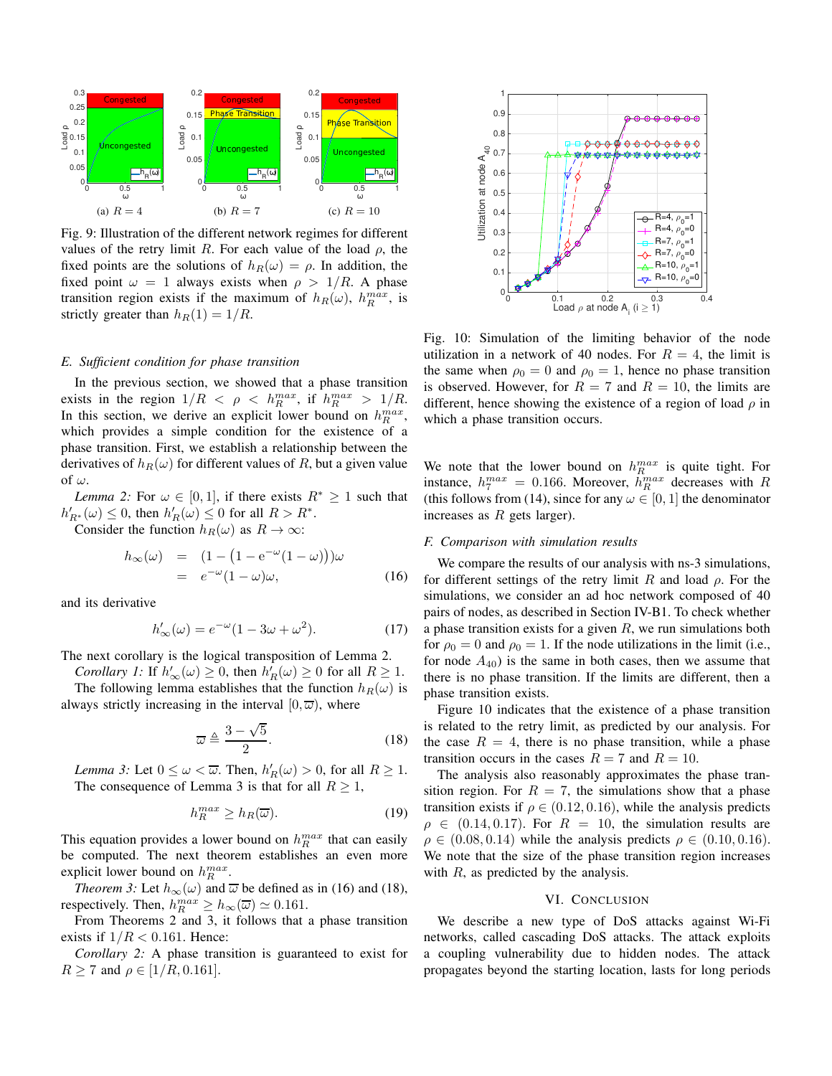

Fig. 9: Illustration of the different network regimes for different values of the retry limit R. For each value of the load  $\rho$ , the fixed points are the solutions of  $h_R(\omega) = \rho$ . In addition, the fixed point  $\omega = 1$  always exists when  $\rho > 1/R$ . A phase transition region exists if the maximum of  $h_R(\omega)$ ,  $h_R^{max}$ , is strictly greater than  $h_R(1) = 1/R$ .

## *E. Sufficient condition for phase transition*

In the previous section, we showed that a phase transition exists in the region  $1/R < \rho < h_R^{max}$ , if  $h_R^{max} > 1/R$ . In this section, we derive an explicit lower bound on  $h_R^{max}$ , which provides a simple condition for the existence of a phase transition. First, we establish a relationship between the derivatives of  $h_R(\omega)$  for different values of R, but a given value of  $\omega$ .

*Lemma 2:* For  $\omega \in [0,1]$ , if there exists  $R^* \geq 1$  such that  $h'_{R^*}(\omega) \leq 0$ , then  $h'_R(\omega) \leq 0$  for all  $R > R^*$ .

Consider the function  $h_R(\omega)$  as  $R \to \infty$ :

$$
h_{\infty}(\omega) = (1 - (1 - e^{-\omega}(1 - \omega)))\omega
$$
  
=  $e^{-\omega}(1 - \omega)\omega,$  (16)

and its derivative

$$
h'_{\infty}(\omega) = e^{-\omega}(1 - 3\omega + \omega^2). \tag{17}
$$

The next corollary is the logical transposition of Lemma 2.

*Corollary 1:* If  $h'_{\infty}(\omega) \ge 0$ , then  $h'_{R}(\omega) \ge 0$  for all  $R \ge 1$ .

The following lemma establishes that the function  $h_R(\omega)$  is always strictly increasing in the interval  $[0, \overline{\omega})$ , where

$$
\overline{\omega} \triangleq \frac{3-\sqrt{5}}{2}.
$$
 (18)

*Lemma 3:* Let  $0 \leq \omega < \overline{\omega}$ . Then,  $h'_R(\omega) > 0$ , for all  $R \geq 1$ . The consequence of Lemma 3 is that for all  $R \geq 1$ ,

$$
h_R^{max} \ge h_R(\overline{\omega}).\tag{19}
$$

This equation provides a lower bound on  $h_R^{max}$  that can easily be computed. The next theorem establishes an even more explicit lower bound on  $h_R^{max}$ .

*Theorem 3:* Let  $h_{\infty}(\omega)$  and  $\overline{\omega}$  be defined as in (16) and (18), respectively. Then,  $h_R^{max} \ge h_{\infty}(\overline{\omega}) \simeq 0.161$ .

From Theorems 2 and 3, it follows that a phase transition exists if  $1/R < 0.161$ . Hence:

*Corollary 2:* A phase transition is guaranteed to exist for  $R \ge 7$  and  $\rho \in [1/R, 0.161]$ .



Fig. 10: Simulation of the limiting behavior of the node utilization in a network of 40 nodes. For  $R = 4$ , the limit is the same when  $\rho_0 = 0$  and  $\rho_0 = 1$ , hence no phase transition is observed. However, for  $R = 7$  and  $R = 10$ , the limits are different, hence showing the existence of a region of load  $\rho$  in which a phase transition occurs.

We note that the lower bound on  $h_R^{max}$  is quite tight. For instance,  $h_7^{max} = 0.166$ . Moreover,  $h_R^{max}$  decreases with R (this follows from (14), since for any  $\omega \in [0, 1]$  the denominator increases as  $R$  gets larger).

#### *F. Comparison with simulation results*

We compare the results of our analysis with ns-3 simulations, for different settings of the retry limit R and load  $\rho$ . For the simulations, we consider an ad hoc network composed of 40 pairs of nodes, as described in Section IV-B1. To check whether a phase transition exists for a given  $R$ , we run simulations both for  $\rho_0 = 0$  and  $\rho_0 = 1$ . If the node utilizations in the limit (i.e., for node  $A_{40}$ ) is the same in both cases, then we assume that there is no phase transition. If the limits are different, then a phase transition exists.

Figure 10 indicates that the existence of a phase transition is related to the retry limit, as predicted by our analysis. For the case  $R = 4$ , there is no phase transition, while a phase transition occurs in the cases  $R = 7$  and  $R = 10$ .

The analysis also reasonably approximates the phase transition region. For  $R = 7$ , the simulations show that a phase transition exists if  $\rho \in (0.12, 0.16)$ , while the analysis predicts  $\rho \in (0.14, 0.17)$ . For  $R = 10$ , the simulation results are  $\rho \in (0.08, 0.14)$  while the analysis predicts  $\rho \in (0.10, 0.16)$ . We note that the size of the phase transition region increases with  $R$ , as predicted by the analysis.

#### VI. CONCLUSION

We describe a new type of DoS attacks against Wi-Fi networks, called cascading DoS attacks. The attack exploits a coupling vulnerability due to hidden nodes. The attack propagates beyond the starting location, lasts for long periods